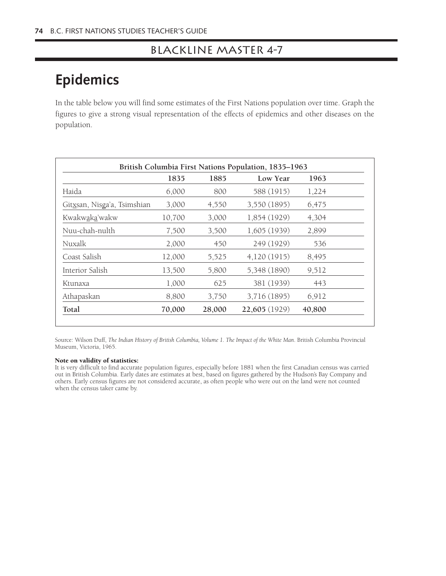## Blackline Master 4-7

## **Epidemics**

In the table below you will find some estimates of the First Nations population over time. Graph the figures to give a strong visual representation of the effects of epidemics and other diseases on the population.

|                             | 1835   | 1885   | Low Year      | 1963   |
|-----------------------------|--------|--------|---------------|--------|
| Haida                       | 6,000  | 800    | 588 (1915)    | 1,224  |
| Gitxsan, Nisga'a, Tsimshian | 3,000  | 4,550  | 3,550 (1895)  | 6,475  |
| Kwakw <u>aka</u> 'wakw      | 10,700 | 3,000  | 1,854 (1929)  | 4,304  |
| Nuu-chah-nulth              | 7,500  | 3,500  | 1,605(1939)   | 2,899  |
| Nuxalk                      | 2,000  | 450    | 249 (1929)    | 536    |
| Coast Salish                | 12,000 | 5,525  | 4,120(1915)   | 8,495  |
| Interior Salish             | 13,500 | 5,800  | 5,348 (1890)  | 9,512  |
| Ktunaxa                     | 1,000  | 625    | 381 (1939)    | 443    |
| Athapaskan                  | 8,800  | 3,750  | 3,716 (1895)  | 6,912  |
| Total                       | 70,000 | 28,000 | 22,605 (1929) | 40,800 |

Source: Wilson Duff, *The Indian History of British Columbia, Volume 1. The Impact of the White Man*. British Columbia Provincial Museum, Victoria, 1965.

## Note on validity of statistics:

It is very difficult to find accurate population figures, especially before 1881 when the first Canadian census was carried out in British Columbia. Early dates are estimates at best, based on figures gathered by the Hudson's Bay Company and others. Early census figures are not considered accurate, as often people who were out on the land were not counted when the census taker came by.